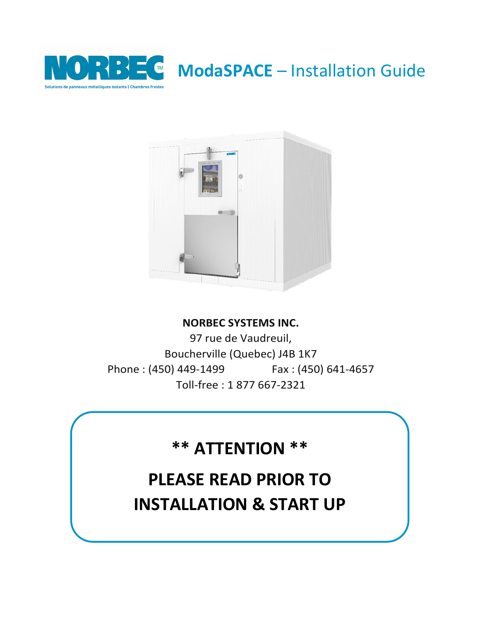

**ModaSPACE** – Installation Guide



## **NORBEC SYSTEMS INC.**

97 rue de Vaudreuil, Boucherville (Quebec) J4B 1K7 Phone : (450) 449-1499 Fax : (450) 641-4657 Toll-free : 1 877 667-2321

# **\*\* ATTENTION \*\***

# **PLEASE READ PRIOR TO INSTALLATION & START UP**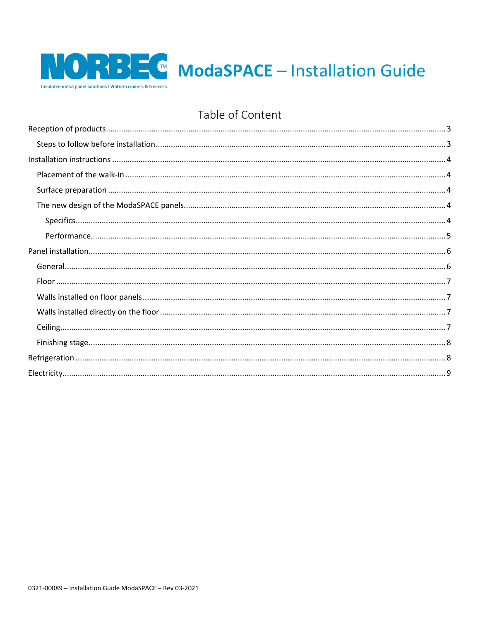

## Table of Content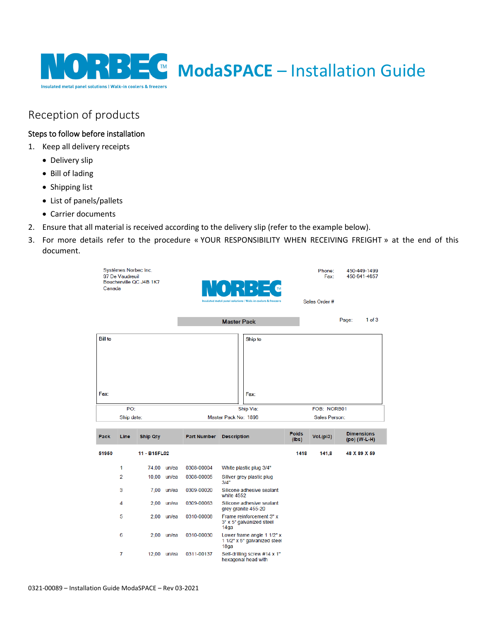

## <span id="page-2-0"></span>Reception of products

## <span id="page-2-1"></span>Steps to follow before installation

- 1. Keep all delivery receipts
	- Delivery slip
	- Bill of lading
	- Shipping list
	- List of panels/pallets
	- Carrier documents
- 2. Ensure that all material is received according to the delivery slip (refer to the example below).
- 3. For more details refer to the procedure « YOUR RESPONSIBILITY WHEN RECEIVING FREIGHT » at the end of this document.

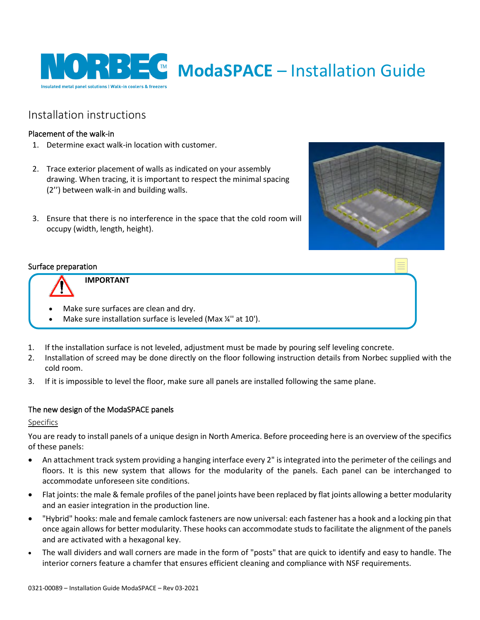

## <span id="page-3-0"></span>Installation instructions

## <span id="page-3-1"></span>Placement of the walk-in

- 1. Determine exact walk-in location with customer.
- 2. Trace exterior placement of walls as indicated on your assembly drawing. When tracing, it is important to respect the minimal spacing (2'') between walk-in and building walls.
- 3. Ensure that there is no interference in the space that the cold room will occupy (width, length, height).



## <span id="page-3-2"></span>Surface preparation



**IMPORTANT**

- Make sure surfaces are clean and dry.
- Make sure installation surface is leveled (Max ¼" at 10').
- 1. If the installation surface is not leveled, adjustment must be made by pouring self leveling concrete.
- 2. Installation of screed may be done directly on the floor following instruction details from Norbec supplied with the cold room.
- 3. If it is impossible to level the floor, make sure all panels are installed following the same plane.

## <span id="page-3-3"></span>The new design of the ModaSPACE panels

## <span id="page-3-4"></span>Specifics

You are ready to install panels of a unique design in North America. Before proceeding here is an overview of the specifics of these panels:

- An attachment track system providing a hanging interface every 2" is integrated into the perimeter of the ceilings and floors. It is this new system that allows for the modularity of the panels. Each panel can be interchanged to accommodate unforeseen site conditions.
- Flat joints: the male & female profiles of the panel joints have been replaced by flat joints allowing a better modularity and an easier integration in the production line.
- "Hybrid" hooks: male and female camlock fasteners are now universal: each fastener has a hook and a locking pin that once again allows for better modularity. These hooks can accommodate studs to facilitate the alignment of the panels and are activated with a hexagonal key.
- The wall dividers and wall corners are made in the form of "posts" that are quick to identify and easy to handle. The interior corners feature a chamfer that ensures efficient cleaning and compliance with NSF requirements.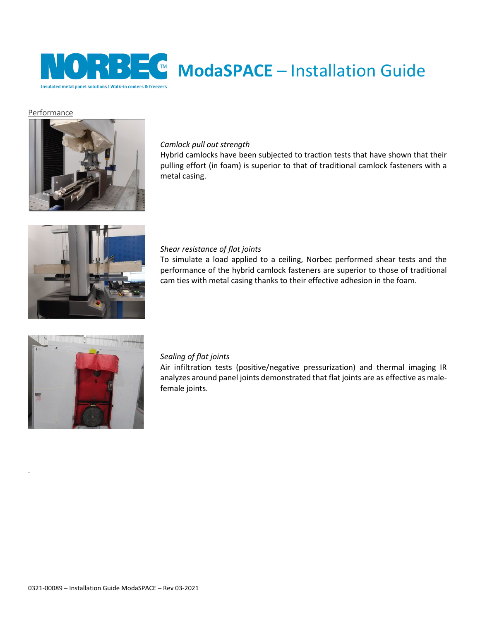

### <span id="page-4-0"></span>Performance



#### *Camlock pull out strength*

Hybrid camlocks have been subjected to traction tests that have shown that their pulling effort (in foam) is superior to that of traditional camlock fasteners with a metal casing.



#### *Shear resistance of flat joints*

To simulate a load applied to a ceiling, Norbec performed shear tests and the performance of the hybrid camlock fasteners are superior to those of traditional cam ties with metal casing thanks to their effective adhesion in the foam.



.

#### *Sealing of flat joints*

Air infiltration tests (positive/negative pressurization) and thermal imaging IR analyzes around panel joints demonstrated that flat joints are as effective as malefemale joints.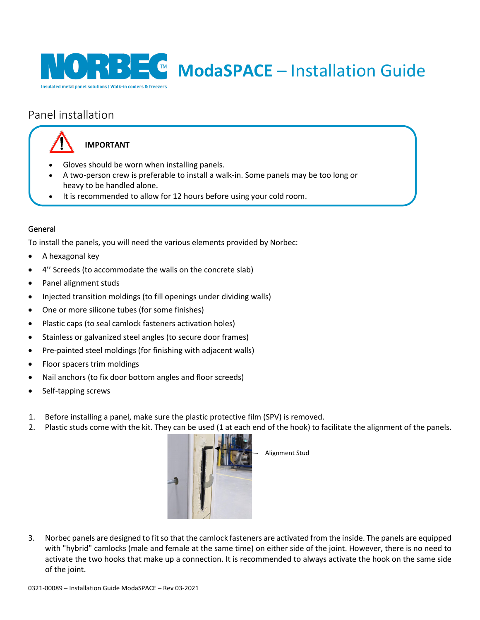

## <span id="page-5-0"></span>Panel installation



## **IMPORTANT**

- Gloves should be worn when installing panels.
- A two-person crew is preferable to install a walk-in. Some panels may be too long or heavy to be handled alone.
- It is recommended to allow for 12 hours before using your cold room.

## <span id="page-5-1"></span>General

To install the panels, you will need the various elements provided by Norbec:

- A hexagonal key
- 4" Screeds (to accommodate the walls on the concrete slab)
- Panel alignment studs
- Injected transition moldings (to fill openings under dividing walls)
- One or more silicone tubes (for some finishes)
- Plastic caps (to seal camlock fasteners activation holes)
- Stainless or galvanized steel angles (to secure door frames)
- Pre-painted steel moldings (for finishing with adjacent walls)
- Floor spacers trim moldings
- Nail anchors (to fix door bottom angles and floor screeds)
- Self-tapping screws
- 1. Before installing a panel, make sure the plastic protective film (SPV) is removed.
- 2. Plastic studs come with the kit. They can be used (1 at each end of the hook) to facilitate the alignment of the panels.



Alignment Stud

3. Norbec panels are designed to fit so that the camlock fasteners are activated from the inside. The panels are equipped with "hybrid" camlocks (male and female at the same time) on either side of the joint. However, there is no need to activate the two hooks that make up a connection. It is recommended to always activate the hook on the same side of the joint.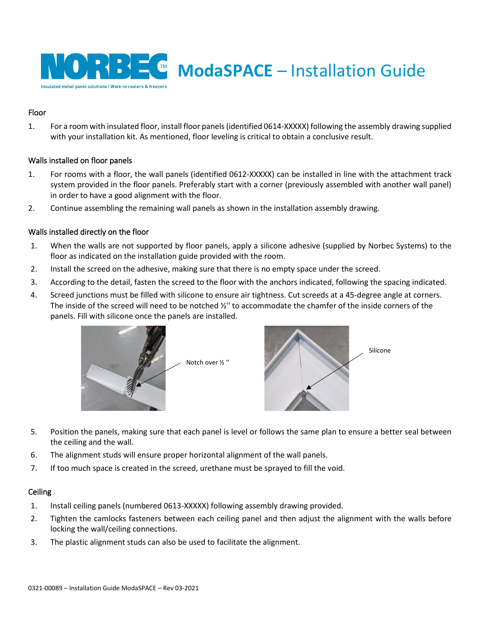

## <span id="page-6-0"></span>Floor

1. For a room with insulated floor, install floor panels (identified 0614-XXXXX) following the assembly drawing supplied with your installation kit. As mentioned, floor leveling is critical to obtain a conclusive result.

## <span id="page-6-1"></span>Walls installed on floor panels

- 1. For rooms with a floor, the wall panels (identified 0612-XXXXX) can be installed in line with the attachment track system provided in the floor panels. Preferably start with a corner (previously assembled with another wall panel) in order to have a good alignment with the floor.
- 2. Continue assembling the remaining wall panels as shown in the installation assembly drawing.

## <span id="page-6-2"></span>Walls installed directly on the floor

- 1. When the walls are not supported by floor panels, apply a silicone adhesive (supplied by Norbec Systems) to the floor as indicated on the installation guide provided with the room.
- 2. Install the screed on the adhesive, making sure that there is no empty space under the screed.
- 3. According to the detail, fasten the screed to the floor with the anchors indicated, following the spacing indicated.
- 4. Screed junctions must be filled with silicone to ensure air tightness. Cut screeds at a 45-degree angle at corners. The inside of the screed will need to be notched ½'' to accommodate the chamfer of the inside corners of the panels. Fill with silicone once the panels are installed.



Notch over ½ ''



- 5. Position the panels, making sure that each panel is level or follows the same plan to ensure a better seal between the ceiling and the wall.
- 6. The alignment studs will ensure proper horizontal alignment of the wall panels.
- 7. If too much space is created in the screed, urethane must be sprayed to fill the void.

## <span id="page-6-3"></span>**Ceiling**

- 1. Install ceiling panels (numbered 0613-XXXXX) following assembly drawing provided.
- 2. Tighten the camlocks fasteners between each ceiling panel and then adjust the alignment with the walls before locking the wall/ceiling connections.
- 3. The plastic alignment studs can also be used to facilitate the alignment.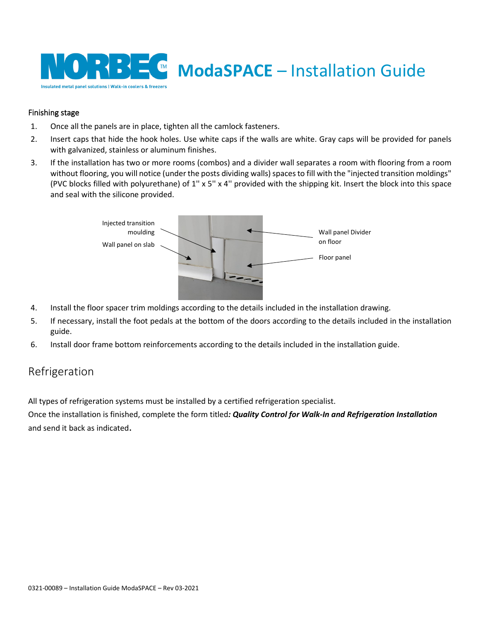

## <span id="page-7-0"></span>Finishing stage

- 1. Once all the panels are in place, tighten all the camlock fasteners.
- 2. Insert caps that hide the hook holes. Use white caps if the walls are white. Gray caps will be provided for panels with galvanized, stainless or aluminum finishes.
- 3. If the installation has two or more rooms (combos) and a divider wall separates a room with flooring from a room without flooring, you will notice (under the posts dividing walls) spaces to fill with the "injected transition moldings" (PVC blocks filled with polyurethane) of 1'' x 5'' x 4'' provided with the shipping kit. Insert the block into this space and seal with the silicone provided.



- 4. Install the floor spacer trim moldings according to the details included in the installation drawing.
- 5. If necessary, install the foot pedals at the bottom of the doors according to the details included in the installation guide.
- <span id="page-7-1"></span>6. Install door frame bottom reinforcements according to the details included in the installation guide.

## Refrigeration

All types of refrigeration systems must be installed by a certified refrigeration specialist.

Once the installation is finished, complete the form titled*: Quality Control for Walk-In and Refrigeration Installation* and send it back as indicated.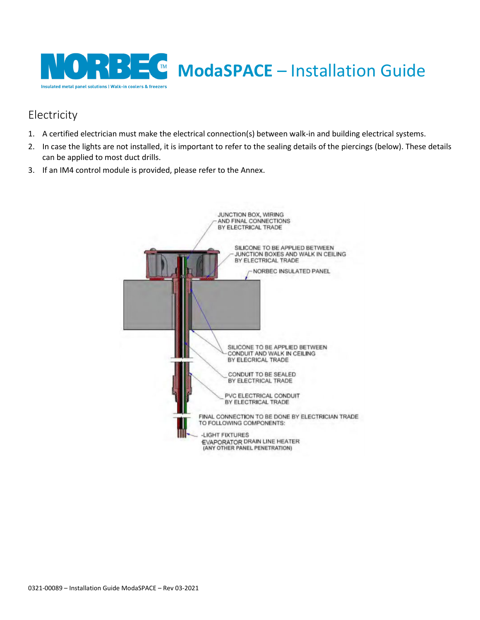

## <span id="page-8-0"></span>Electricity

- 1. A certified electrician must make the electrical connection(s) between walk-in and building electrical systems.
- 2. In case the lights are not installed, it is important to refer to the sealing details of the piercings (below). These details can be applied to most duct drills.
- 3. If an IM4 control module is provided, please refer to the Annex.